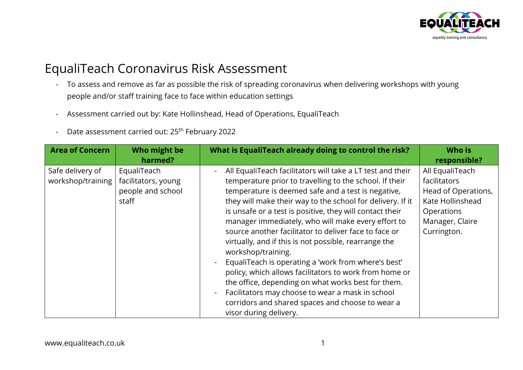

## EqualiTeach Coronavirus Risk Assessment

- To assess and remove as far as possible the risk of spreading coronavirus when delivering workshops with young people and/or staff training face to face within education settings
- Assessment carried out by: Kate Hollinshead, Head of Operations, EqualiTeach
- Date assessment carried out: 25<sup>th</sup> February 2022

| <b>Area of Concern</b> | Who might be        | What is EqualiTeach already doing to control the risk?     | Who is              |
|------------------------|---------------------|------------------------------------------------------------|---------------------|
|                        | harmed?             |                                                            | responsible?        |
| Safe delivery of       | EqualiTeach         | All EqualiTeach facilitators will take a LT test and their | All EqualiTeach     |
| workshop/training      | facilitators, young | temperature prior to travelling to the school. If their    | facilitators        |
|                        | people and school   | temperature is deemed safe and a test is negative,         | Head of Operations, |
|                        | staff               | they will make their way to the school for delivery. If it | Kate Hollinshead    |
|                        |                     | is unsafe or a test is positive, they will contact their   | <b>Operations</b>   |
|                        |                     | manager immediately, who will make every effort to         | Manager, Claire     |
|                        |                     | source another facilitator to deliver face to face or      | Currington.         |
|                        |                     | virtually, and if this is not possible, rearrange the      |                     |
|                        |                     | workshop/training.                                         |                     |
|                        |                     | EqualiTeach is operating a 'work from where's best'        |                     |
|                        |                     | policy, which allows facilitators to work from home or     |                     |
|                        |                     | the office, depending on what works best for them.         |                     |
|                        |                     | Facilitators may choose to wear a mask in school           |                     |
|                        |                     | corridors and shared spaces and choose to wear a           |                     |
|                        |                     | visor during delivery.                                     |                     |